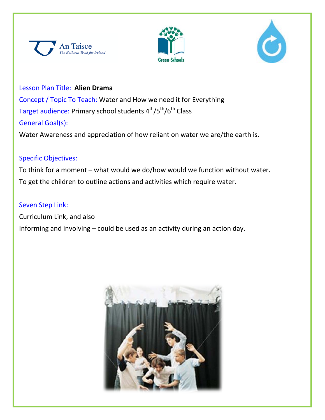





Lesson Plan Title: **Alien Drama** Concept / Topic To Teach: Water and How we need it for Everything Target audience: Primary school students 4<sup>th</sup>/5<sup>th</sup>/6<sup>th</sup> Class General Goal(s):

Water Awareness and appreciation of how reliant on water we are/the earth is.

## Specific Objectives:

To think for a moment – what would we do/how would we function without water. To get the children to outline actions and activities which require water.

### Seven Step Link:

Curriculum Link, and also Informing and involving – could be used as an activity during an action day.

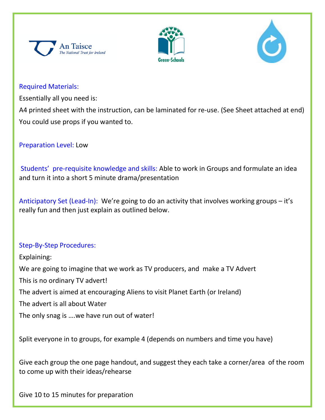





### Required Materials:

Essentially all you need is:

A4 printed sheet with the instruction, can be laminated for re-use. (See Sheet attached at end) You could use props if you wanted to.

Preparation Level: Low

Students' pre-requisite knowledge and skills: Able to work in Groups and formulate an idea and turn it into a short 5 minute drama/presentation

Anticipatory Set (Lead-In): We're going to do an activity that involves working groups – it's really fun and then just explain as outlined below.

# Step-By-Step Procedures:

Explaining:

We are going to imagine that we work as TV producers, and make a TV Advert

This is no ordinary TV advert!

The advert is aimed at encouraging Aliens to visit Planet Earth (or Ireland)

The advert is all about Water

The only snag is ….we have run out of water!

Split everyone in to groups, for example 4 (depends on numbers and time you have)

Give each group the one page handout, and suggest they each take a corner/area of the room to come up with their ideas/rehearse

Give 10 to 15 minutes for preparation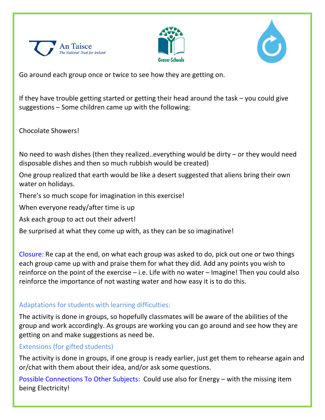





Go around each group once or twice to see how they are getting on.

If they have trouble getting started or getting their head around the task – you could give suggestions – Some children came up with the following:

Chocolate Showers!

No need to wash dishes (then they realized..everything would be dirty – or they would need disposable dishes and then so much rubbish would be created)

One group realized that earth would be like a desert suggested that aliens bring their own water on holidays.

There's so much scope for imagination in this exercise!

When everyone ready/after time is up

Ask each group to act out their advert!

Be surprised at what they come up with, as they can be so imaginative!

Closure: Re cap at the end, on what each group was asked to do, pick out one or two things each group came up with and praise them for what they did. Add any points you wish to reinforce on the point of the exercise – i.e. Life with no water – Imagine! Then you could also reinforce the importance of not wasting water and how easy it is to do this.

# Adaptations for students with learning difficulties:

The activity is done in groups, so hopefully classmates will be aware of the abilities of the group and work accordingly. As groups are working you can go around and see how they are getting on and make suggestions as need be.

# Extensions (for gifted students)

The activity is done in groups, if one group is ready earlier, just get them to rehearse again and or/chat with them about their idea, and/or ask some questions.

Possible Connections To Other Subjects: Could use also for Energy – with the missing item being Electricity!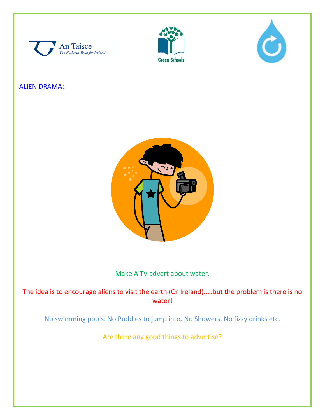





## ALIEN DRAMA:



### Make A TV advert about water.

The idea is to encourage aliens to visit the earth (Or Ireland)..…but the problem is there is no water!

No swimming pools. No Puddles to jump into. No Showers. No fizzy drinks etc.

Are there any good things to advertise?